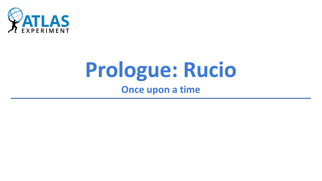

# **Prologue: Rucio Once upon a time**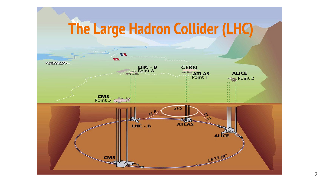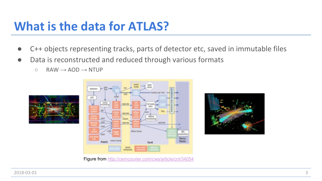### **What is the data for ATLAS?**

- C++ objects representing tracks, parts of detector etc, saved in immutable files
- Data is reconstructed and reduced through various formats
	- $\circ$  RAW  $\rightarrow$  AOD  $\rightarrow$  NTUP







Figure from <http://cerncourier.com/cws/article/cnl/34054>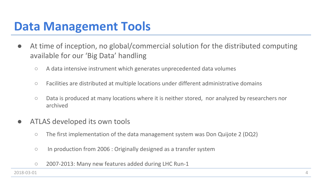#### **Data Management Tools**

- **●** At time of inception, no global/commercial solution for the distributed computing available for our 'Big Data' handling
	- **○** A data intensive instrument which generates unprecedented data volumes
	- **○** Facilities are distributed at multiple locations under different administrative domains
	- **○** Data is produced at many locations where it is neither stored, nor analyzed by researchers nor archived
- **●** ATLAS developed its own tools
	- **○** The first implementation of the data management system was Don Quijote 2 (DQ2)
	- **○** In production from 2006 : Originally designed as a transfer system
	- **○** 2007-2013: Many new features added during LHC Run-1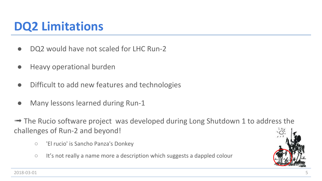# **DQ2 Limitations**

- **●** DQ2 would have not scaled for LHC Run-2
- **●** Heavy operational burden
- **●** Difficult to add new features and technologies
- **●** Many lessons learned during Run-1

➟ The Rucio software project was developed during Long Shutdown 1 to address the challenges of Run-2 and beyond!

- **○** 'El rucio' is Sancho Panza's Donkey
- **○** It's not really a name more a description which suggests a dappled colour



2018-03-01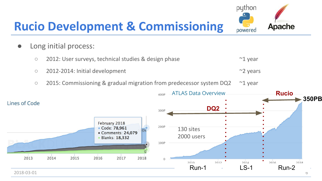# **Rucio Development & Commissioning**

- **●** Long initial process:
	- **○** 2012: User surveys, technical studies & design phase ~1 year
	- **○** 2012-2014: Initial development ~2 years
		- **○** 2015: Commissioning & gradual migration from predecessor system DQ2 ~1 year



python

powered

Apache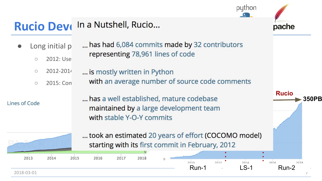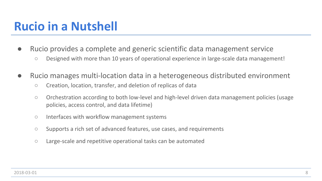### **Rucio in a Nutshell**

- **●** Rucio provides a complete and generic scientific data management service
	- **○** Designed with more than 10 years of operational experience in large-scale data management!
- **●** Rucio manages multi-location data in a heterogeneous distributed environment
	- **○** Creation, location, transfer, and deletion of replicas of data
	- **○** Orchestration according to both low-level and high-level driven data management policies (usage policies, access control, and data lifetime)
	- **○** Interfaces with workflow management systems
	- **○** Supports a rich set of advanced features, use cases, and requirements
	- **○** Large-scale and repetitive operational tasks can be automated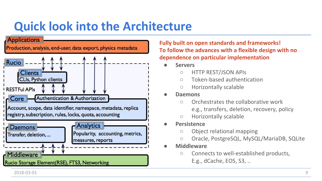# **Quick look into the Architecture**



**Fully built on open standards and frameworks! To follow the advances with a flexible design with no dependence on particular implementation**

- **● Servers**
	- HTTP REST/JSON APIs
	- Token-based authentication
	- Horizontally scalable
- **● Daemons**
	- Orchestrates the collaborative work e.g., transfers, deletion, recovery, policy
	- Horizontally scalable
- **● Persistence**
	- Object relational mapping
	- Oracle, PostgreSQL, MySQL/MariaDB, SQLite
- **● Middleware**
	- Connects to well-established products, E.g., dCache, EOS, S3, ..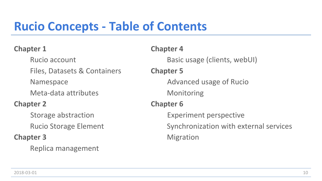# **Rucio Concepts - Table of Contents**

#### **Chapter 1**

Rucio account Files, Datasets & Containers Namespace Meta-data attributes **Chapter 2**

> Storage abstraction Rucio Storage Element

#### **Chapter 3**

Replica management

**Chapter 4** Basic usage (clients, webUI) **Chapter 5** Advanced usage of Rucio Monitoring **Chapter 6** Experiment perspective Synchronization with external services Migration